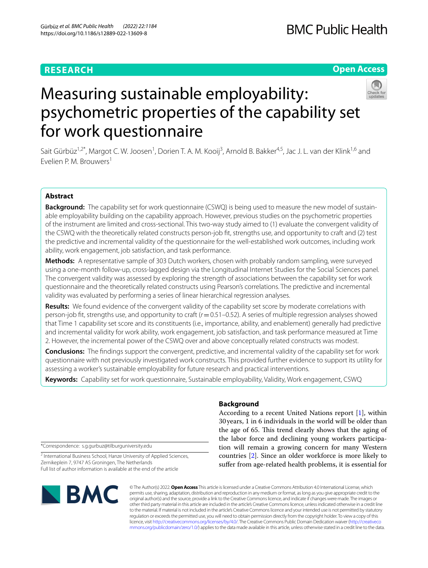# **RESEARCH**

# **Open Access**



# Measuring sustainable employability: psychometric properties of the capability set for work questionnaire

Sait Gürbüz<sup>1,2\*</sup>, Margot C.W. Joosen<sup>1</sup>, Dorien T. A. M. Kooij<sup>3</sup>, Arnold B. Bakker<sup>4,5</sup>, Jac J. L. van der Klink<sup>1,6</sup> and Evelien P. M. Brouwers<sup>1</sup>

## **Abstract**

**Background:** The capability set for work questionnaire (CSWQ) is being used to measure the new model of sustainable employability building on the capability approach. However, previous studies on the psychometric properties of the instrument are limited and cross-sectional. This two-way study aimed to (1) evaluate the convergent validity of the CSWQ with the theoretically related constructs person-job ft, strengths use, and opportunity to craft and (2) test the predictive and incremental validity of the questionnaire for the well-established work outcomes, including work ability, work engagement, job satisfaction, and task performance.

**Methods:** A representative sample of 303 Dutch workers, chosen with probably random sampling, were surveyed using a one-month follow-up, cross-lagged design via the Longitudinal Internet Studies for the Social Sciences panel. The convergent validity was assessed by exploring the strength of associations between the capability set for work questionnaire and the theoretically related constructs using Pearson's correlations. The predictive and incremental validity was evaluated by performing a series of linear hierarchical regression analyses.

**Results:** We found evidence of the convergent validity of the capability set score by moderate correlations with person-job ft, strengths use, and opportunity to craft (*r*=0.51–0.52). A series of multiple regression analyses showed that Time 1 capability set score and its constituents (i.e., importance, ability, and enablement) generally had predictive and incremental validity for work ability, work engagement, job satisfaction, and task performance measured at Time 2. However, the incremental power of the CSWQ over and above conceptually related constructs was modest.

**Conclusions:** The fndings support the convergent, predictive, and incremental validity of the capability set for work questionnaire with not previously investigated work constructs. This provided further evidence to support its utility for assessing a worker's sustainable employability for future research and practical interventions.

**Keywords:** Capability set for work questionnaire, Sustainable employability, Validity, Work engagement, CSWQ

\*Correspondence: s.g.gurbuz@tilburguniversity.edu

<sup>2</sup> International Business School, Hanze University of Applied Sciences, Zernikeplein 7, 9747 AS Groningen, The Netherlands Full list of author information is available at the end of the article



## **Background**

According to a recent United Nations report [[1](#page-8-0)], within 30years, 1 in 6 individuals in the world will be older than the age of 65. This trend clearly shows that the aging of the labor force and declining young workers participation will remain a growing concern for many Western countries [\[2](#page-8-1)]. Since an older workforce is more likely to sufer from age-related health problems, it is essential for

© The Author(s) 2022. **Open Access** This article is licensed under a Creative Commons Attribution 4.0 International License, which permits use, sharing, adaptation, distribution and reproduction in any medium or format, as long as you give appropriate credit to the original author(s) and the source, provide a link to the Creative Commons licence, and indicate if changes were made. The images or other third party material in this article are included in the article's Creative Commons licence, unless indicated otherwise in a credit line to the material. If material is not included in the article's Creative Commons licence and your intended use is not permitted by statutory regulation or exceeds the permitted use, you will need to obtain permission directly from the copyright holder. To view a copy of this licence, visit [http://creativecommons.org/licenses/by/4.0/.](http://creativecommons.org/licenses/by/4.0/) The Creative Commons Public Domain Dedication waiver ([http://creativeco](http://creativecommons.org/publicdomain/zero/1.0/) [mmons.org/publicdomain/zero/1.0/](http://creativecommons.org/publicdomain/zero/1.0/)) applies to the data made available in this article, unless otherwise stated in a credit line to the data.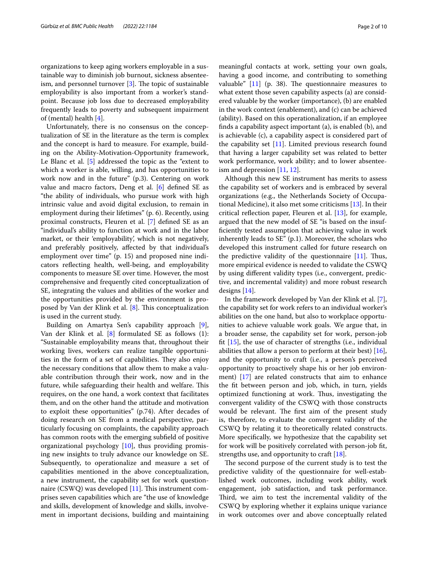organizations to keep aging workers employable in a sustainable way to diminish job burnout, sickness absenteeism, and personnel turnover  $[3]$  $[3]$ . The topic of sustainable employability is also important from a worker's standpoint. Because job loss due to decreased employability frequently leads to poverty and subsequent impairment of (mental) health [\[4](#page-8-3)].

Unfortunately, there is no consensus on the conceptualization of SE in the literature as the term is complex and the concept is hard to measure. For example, building on the Ability-Motivation-Opportunity framework, Le Blanc et al. [\[5](#page-8-4)] addressed the topic as the "extent to which a worker is able, willing, and has opportunities to work now and in the future" (p.3). Centering on work value and macro factors, Deng et al. [[6\]](#page-8-5) defned SE as "the ability of individuals, who pursue work with high intrinsic value and avoid digital exclusion, to remain in employment during their lifetimes" (p. 6). Recently, using proximal constructs, Fleuren et al. [\[7](#page-8-6)] defned SE as an "individual's ability to function at work and in the labor market, or their 'employability', which is not negatively, and preferably positively, afected by that individual's employment over time" (p. 15) and proposed nine indicators refecting health, well-being, and employability components to measure SE over time. However, the most comprehensive and frequently cited conceptualization of SE, integrating the values and abilities of the worker and the opportunities provided by the environment is proposed by Van der Klink et al.  $[8]$  $[8]$ . This conceptualization is used in the current study.

Building on Amartya Sen's capability approach [\[9](#page-8-8)], Van der Klink et al. [\[8\]](#page-8-7) formulated SE as follows (1): "Sustainable employability means that, throughout their working lives, workers can realize tangible opportunities in the form of a set of capabilities. They also enjoy the necessary conditions that allow them to make a valuable contribution through their work, now and in the future, while safeguarding their health and welfare. This requires, on the one hand, a work context that facilitates them, and on the other hand the attitude and motivation to exploit these opportunities" (p.74). After decades of doing research on SE from a medical perspective, particularly focusing on complaints, the capability approach has common roots with the emerging subfeld of positive organizational psychology [[10\]](#page-8-9), thus providing promising new insights to truly advance our knowledge on SE. Subsequently, to operationalize and measure a set of capabilities mentioned in the above conceptualization, a new instrument, the capability set for work questionnaire (CSWQ) was developed  $[11]$  $[11]$  $[11]$ . This instrument comprises seven capabilities which are "the use of knowledge and skills, development of knowledge and skills, involvement in important decisions, building and maintaining meaningful contacts at work, setting your own goals, having a good income, and contributing to something valuable"  $[11]$  $[11]$  (p. 38). The questionnaire measures to what extent those seven capability aspects (a) are considered valuable by the worker (importance), (b) are enabled in the work context (enablement), and (c) can be achieved (ability). Based on this operationalization, if an employee fnds a capability aspect important (a), is enabled (b), and is achievable (c), a capability aspect is considered part of the capability set [[11\]](#page-8-10). Limited previous research found that having a larger capability set was related to better work performance, work ability; and to lower absenteeism and depression [[11,](#page-8-10) [12](#page-8-11)].

Although this new SE instrument has merits to assess the capability set of workers and is embraced by several organizations (e.g., the Netherlands Society of Occupational Medicine), it also met some criticisms [[13](#page-8-12)]. In their critical refection paper, Fleuren et al. [[13](#page-8-12)], for example, argued that the new model of SE "is based on the insuffciently tested assumption that achieving value in work inherently leads to SE" (p.1). Moreover, the scholars who developed this instrument called for future research on the predictive validity of the questionnaire  $[11]$  $[11]$ . Thus, more empirical evidence is needed to validate the CSWQ by using diferent validity types (i.e., convergent, predictive, and incremental validity) and more robust research designs [[14](#page-8-13)].

In the framework developed by Van der Klink et al. [\[7](#page-8-6)], the capability set for work refers to an individual worker's abilities on the one hand, but also to workplace opportunities to achieve valuable work goals. We argue that, in a broader sense, the capability set for work, person-job ft [[15\]](#page-8-14), the use of character of strengths (i.e., individual abilities that allow a person to perform at their best) [\[16](#page-8-15)], and the opportunity to craft (i.e., a person's perceived opportunity to proactively shape his or her job environment) [[17\]](#page-8-16) are related constructs that aim to enhance the ft between person and job, which, in turn, yields optimized functioning at work. Thus, investigating the convergent validity of the CSWQ with those constructs would be relevant. The first aim of the present study is, therefore, to evaluate the convergent validity of the CSWQ by relating it to theoretically related constructs. More specifcally, we hypothesize that the capability set for work will be positively correlated with person-job ft, strengths use, and opportunity to craft [\[18](#page-8-17)].

The second purpose of the current study is to test the predictive validity of the questionnaire for well-established work outcomes, including work ability, work engagement, job satisfaction, and task performance. Third, we aim to test the incremental validity of the CSWQ by exploring whether it explains unique variance in work outcomes over and above conceptually related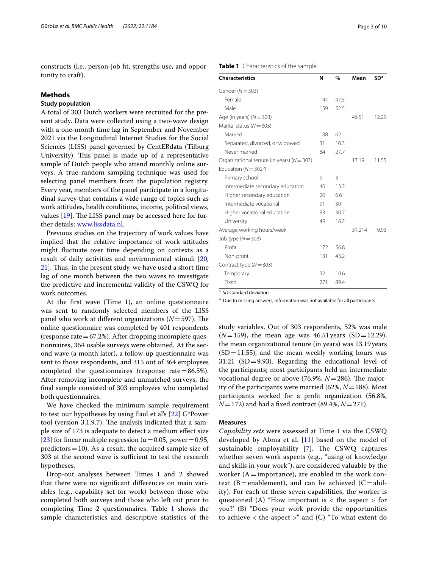constructs (i.e., person-job ft, strengths use, and opportunity to craft).

#### **Methods**

#### **Study population**

A total of 303 Dutch workers were recruited for the present study. Data were collected using a two-wave design with a one-month time lag in September and November 2021 via the Longitudinal Internet Studies for the Social Sciences (LISS) panel governed by CentERdata (Tilburg University). This panel is made up of a representative sample of Dutch people who attend monthly online surveys. A true random sampling technique was used for selecting panel members from the population registry. Every year, members of the panel participate in a longitudinal survey that contains a wide range of topics such as work attitudes, health conditions, income, political views, values  $[19]$  $[19]$ . The LISS panel may be accessed here for further details: [www.lissdata.nl.](http://www.lissdata.nl)

Previous studies on the trajectory of work values have implied that the relative importance of work attitudes might fuctuate over time depending on contexts as a result of daily activities and environmental stimuli [\[20](#page-8-19), [21\]](#page-8-20). Thus, in the present study, we have used a short time lag of one month between the two waves to investigate the predictive and incremental validity of the CSWQ for work outcomes.

At the frst wave (Time 1), an online questionnaire was sent to randomly selected members of the LISS panel who work at different organizations  $(N=597)$ . The online questionnaire was completed by 401 respondents (response rate  $=67.2%$ ). After dropping incomplete questionnaires, 364 usable surveys were obtained. At the second wave (a month later), a follow-up questionnaire was sent to those respondents, and 315 out of 364 employees completed the questionnaires (response rate $=86.5\%$ ). After removing incomplete and unmatched surveys, the fnal sample consisted of 303 employees who completed both questionnaires.

We have checked the minimum sample requirement to test our hypotheses by using Faul et al's [\[22\]](#page-8-21) G\*Power tool (version 3.1.9.7). The analysis indicated that a sample size of 173 is adequate to detect a medium efect size [[23\]](#page-8-22) for linear multiple regression ( $\alpha$  = 0.05, power = 0.95, predictors  $=10$ ). As a result, the acquired sample size of 303 at the second wave is sufficient to test the research hypotheses.

Drop-out analyses between Times 1 and 2 showed that there were no signifcant diferences on main variables (e.g., capability set for work) between those who completed both surveys and those who left out prior to completing Time 2 questionnaires. Table [1](#page-2-0) shows the sample characteristics and descriptive statistics of the

#### <span id="page-2-0"></span>**Table 1** Characteristics of the sample

| <b>Characteristics</b>                         | N   | $\%$ | Mean   | SD <sup>a</sup> |
|------------------------------------------------|-----|------|--------|-----------------|
| Gender ( $N = 303$ )                           |     |      |        |                 |
| Female                                         | 144 | 47.5 |        |                 |
| Male                                           | 159 | 52.5 |        |                 |
| Age (in years) $(N = 303)$                     |     |      | 46,51  | 12.29           |
| Marital status ( $N = 303$ )                   |     |      |        |                 |
| Married                                        | 188 | 62   |        |                 |
| Separated, divorced, or widowed                | 31  | 10.3 |        |                 |
| Never married                                  | 84  | 27.7 |        |                 |
| Organizational tenure (in years) ( $N = 303$ ) |     |      | 13.19  | 11.55           |
| Education ( $N = 302b$ )                       |     |      |        |                 |
| Primary school                                 | 9   | 3    |        |                 |
| Intermediate secondary education               | 40  | 13.2 |        |                 |
| Higher secondary education                     | 20  | 6.6  |        |                 |
| Intermediate vocational                        | 91  | 30   |        |                 |
| Higher vocational education                    | 93  | 30.7 |        |                 |
| University                                     | 49  | 16.2 |        |                 |
| Average working hours/week                     |     |      | 31.214 | 9.93            |
| Job type $(N = 303)$                           |     |      |        |                 |
| Profit                                         | 172 | 56.8 |        |                 |
| Non-profit                                     | 131 | 43.2 |        |                 |
| Contract type $(N = 303)$                      |     |      |        |                 |
| Temporary                                      | 32  | 10.6 |        |                 |
| Fixed                                          | 271 | 89.4 |        |                 |

<sup>a</sup> SD standard deviation

**b** Due to missing answers, information was not available for all participants

study variables. Out of 303 respondents, 52% was male  $(N=159)$ , the mean age was 46.51 years (SD = 12.29), the mean organizational tenure (in years) was 13.19years  $(SD=11.55)$ , and the mean weekly working hours was  $31.21$  (SD = 9.93). Regarding the educational level of the participants; most participants held an intermediate vocational degree or above  $(76.9\%, N=286)$ . The majority of the participants were married (62%, *N*=188). Most participants worked for a proft organization (56.8%, *N*=172) and had a fxed contract (89.4%, *N*=271).

#### **Measures**

*Capability sets* were assessed at Time 1 via the CSWQ developed by Abma et al.  $[11]$  $[11]$  $[11]$  based on the model of sustainable employability  $[7]$  $[7]$ . The CSWQ captures whether seven work aspects (e.g., "using of knowledge and skills in your work"), are considered valuable by the worker  $(A=$ importance), are enabled in the work context (B = enablement), and can be achieved ( $C = abil$ ity). For each of these seven capabilities, the worker is questioned (A) "How important is  $\lt$  the aspect  $>$  for you?' (B) "Does your work provide the opportunities to achieve  $\lt$  the aspect  $>$ " and (C) "To what extent do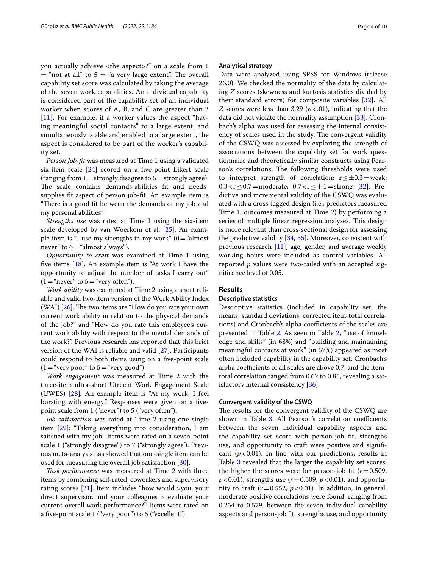you actually achieve <the aspect>?" on a scale from 1  $=$  "not at all" to 5  $=$  "a very large extent". The overall capability set score was calculated by taking the average of the seven work capabilities. An individual capability is considered part of the capability set of an individual worker when scores of A, B, and C are greater than 3 [[11](#page-8-10)]. For example, if a worker values the aspect "having meaningful social contacts" to a large extent, and simultaneously is able and enabled to a large extent, the aspect is considered to be part of the worker's capability set.

*Person Job-ft* was measured at Time 1 using a validated six-item scale [[24](#page-8-23)] scored on a fve-point Likert scale (ranging from  $1=$  strongly disagree to  $5=$  strongly agree). The scale contains demands-abilities fit and needssupplies fit aspect of person job-fit. An example item is "There is a good fit between the demands of my job and my personal abilities".

*Strengths use* was rated at Time 1 using the six-item scale developed by van Woerkom et al. [[25\]](#page-8-24). An example item is "I use my strengths in my work"  $(0=$  "almost" never" to  $6=$  "almost always").

*Opportunity to craft* was examined at Time 1 using five items  $[18]$  $[18]$ . An example item is "At work I have the opportunity to adjust the number of tasks I carry out"  $(1="text{never" to } 5="text{very often").}$ 

*Work ability* was examined at Time 2 using a short reliable and valid two-item version of the Work Ability Index (WAI)  $[26]$  $[26]$ . The two items are "How do you rate your own current work ability in relation to the physical demands of the job?" and "How do you rate this employee's current work ability with respect to the mental demands of the work?". Previous research has reported that this brief version of the WAI is reliable and valid [\[27](#page-8-26)]. Participants could respond to both items using on a fve-point scale  $(1="$  very poor" to  $5="$  very good").

*Work engagement* was measured at Time 2 with the three-item ultra-short Utrecht Work Engagement Scale (UWES) [[28\]](#page-8-27)*.* An example item is "At my work, I feel bursting with energy*".* Responses were given on a fvepoint scale from 1 ("never") to 5 ("very often").

*Job satisfaction* was rated at Time 2 using one single item [[29\]](#page-8-28): "Taking everything into consideration, I am satisfed with my job". Items were rated on a seven-point scale 1 ("strongly disagree") to 7 ("strongly agree'). Previous meta-analysis has showed that one-single item can be used for measuring the overall job satisfaction [[30\]](#page-8-29).

*Task performance* was measured at Time 2 with three items by combining self-rated, coworkers and supervisory rating scores [[31\]](#page-8-30). Item includes "how would >you, your direct supervisor, and your colleagues > evaluate your current overall work performance?". Items were rated on a fve-point scale 1 ("very poor") to 5 ("excellent").

#### **Analytical strategy**

Data were analyzed using SPSS for Windows (release 26.0). We checked the normality of the data by calculating *Z* scores (skewness and kurtosis statistics divided by their standard errors) for composite variables [[32\]](#page-8-31). All *Z* scores were less than 3.29 ( $p < .01$ ), indicating that the data did not violate the normality assumption [\[33](#page-9-0)]. Cronbach's alpha was used for assessing the internal consistency of scales used in the study. The convergent validity of the CSWQ was assessed by exploring the strength of associations between the capability set for work questionnaire and theoretically similar constructs using Pearson's correlations. The following thresholds were used to interpret strength of correlation:  $r \leq \pm 0.3$  = weak;  $0.3 < r \le 0.7$  = moderate;  $0.7 < r \le +1$  = strong [\[32\]](#page-8-31). Predictive and incremental validity of the CSWQ was evaluated with a cross-lagged design (i.e., predictors measured Time 1, outcomes measured at Time 2) by performing a series of multiple linear regression analyses. This design is more relevant than cross-sectional design for assessing the predictive validity [\[34](#page-9-1), [35\]](#page-9-2). Moreover, consistent with previous research [\[11](#page-8-10)], age, gender, and average weekly working hours were included as control variables. All reported *p* values were two-tailed with an accepted signifcance level of 0.05.

#### **Results**

#### **Descriptive statistics**

Descriptive statistics (included in capability set, the means, standard deviations, corrected item-total correlations) and Cronbach's alpha coefficients of the scales are presented in Table [2.](#page-4-0) As seen in Table [2,](#page-4-0) "use of knowledge and skills" (in 68%) and "building and maintaining meaningful contacts at work" (in 57%) appeared as most often included capability in the capability set. Cronbach's alpha coefficients of all scales are above 0.7, and the itemtotal correlation ranged from 0.62 to 0.85, revealing a satisfactory internal consistency [[36\]](#page-9-3).

#### **Convergent validity of the CSWQ**

The results for the convergent validity of the CSWQ are shown in Table [3](#page-4-1). All Pearson's correlation coefficients between the seven individual capability aspects and the capability set score with person-job ft, strengths use, and opportunity to craft were positive and signifcant  $(p<0.01)$ . In line with our predictions, results in Table [3](#page-4-1) revealed that the larger the capability set scores, the higher the scores were for person-job fit  $(r=0.509,$  $p$ <0.01), strengths use ( $r$ =0.509,  $p$ <0.01), and opportunity to craft  $(r=0.552, p<0.01)$ . In addition, in general, moderate positive correlations were found, ranging from 0.254 to 0.579, between the seven individual capability aspects and person-job ft, strengths use, and opportunity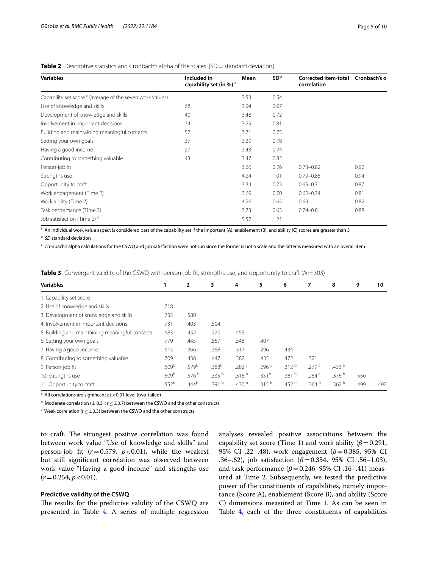| <b>Variables</b>                                                     | Included in<br>capability set (in %) <sup>a</sup> | Mean | SD <sup>b</sup> | Corrected item-total Cronbach's o<br>correlation |      |
|----------------------------------------------------------------------|---------------------------------------------------|------|-----------------|--------------------------------------------------|------|
| Capability set score <sup>c</sup> (average of the seven work values) |                                                   | 3.53 | 0.54            |                                                  |      |
| Use of knowledge and skills                                          | 68                                                | 3.94 | 0.67            |                                                  |      |
| Development of knowledge and skills                                  | 40                                                | 3.48 | 0.72            |                                                  |      |
| Involvement in important decisions                                   | 34                                                | 3.29 | 0.81            |                                                  |      |
| Building and maintaining meaningful contacts                         | 57                                                | 3.71 | 0.75            |                                                  |      |
| Setting your own goals                                               | 37                                                | 3.39 | 0.78            |                                                  |      |
| Having a good income                                                 | 37                                                | 3.43 | 0.74            |                                                  |      |
| Contributing to something valuable                                   | 43                                                | 3.47 | 0.82            |                                                  |      |
| Person-job fit                                                       |                                                   | 3.66 | 0.76            | $0.73 - 0.82$                                    | 0.92 |
| Strengths use                                                        |                                                   | 4.24 | 1.01            | $0.79 - 0.85$                                    | 0.94 |
| Opportunity to craft                                                 |                                                   | 3.34 | 0.73            | $0.65 - 0.71$                                    | 0.87 |
| Work engagement (Time 2)                                             |                                                   | 3.69 | 0.70            | $0.62 - 0.74$                                    | 0.81 |
| Work ability (Time 2)                                                |                                                   | 4.26 | 0.65            | 0.69                                             | 0.82 |
| Task performance (Time 2)                                            |                                                   | 3.73 | 0.63            | $0.74 - 0.81$                                    | 0.88 |
| Job satisfaction (Time 2) <sup>c</sup>                               |                                                   | 5.57 | 1.21            |                                                  |      |

#### <span id="page-4-0"></span>**Table 2** Descriptive statistics and Cronbach's alpha of the scales. [SD=standard deviation]

<sup>a</sup> An individual work value aspect is considered part of the capability set if the important (A), enablement (B), and ability (C) scores are greater than 3

b *SD* standard deviation

 $c$  Cronbach's alpha calculations for the CSWQ and job satisfaction were not run since the former is not a scale and the latter is measured with an overall item

<span id="page-4-1"></span>

|  |  |  |  |  |  |  |  | <b>Table 3</b> Convergent validity of the CSWQ with person-job fit, strengths use, and opportunity to craft ( $N = 303$ ) |  |  |
|--|--|--|--|--|--|--|--|---------------------------------------------------------------------------------------------------------------------------|--|--|
|--|--|--|--|--|--|--|--|---------------------------------------------------------------------------------------------------------------------------|--|--|

| <b>Variables</b>                                |                   | $\overline{2}$    | 3                 | 4                 | 5                 | 6                 | 7                 | 8                 | 9    | 10   |
|-------------------------------------------------|-------------------|-------------------|-------------------|-------------------|-------------------|-------------------|-------------------|-------------------|------|------|
| 1. Capability set score                         |                   |                   |                   |                   |                   |                   |                   |                   |      |      |
| 2. Use of knowledge and skills                  | .718              |                   |                   |                   |                   |                   |                   |                   |      |      |
| 3. Development of knowledge and skills          | .755              | .580              |                   |                   |                   |                   |                   |                   |      |      |
| 4. Involvement in important decisions           | .731              | .403              | .504              |                   |                   |                   |                   |                   |      |      |
| 5. Building and maintaining meaningful contacts | .683              | .452              | .370              | .455              |                   |                   |                   |                   |      |      |
| 6. Setting your own goals                       | .779              | .445              | .557              | .548              | .407              |                   |                   |                   |      |      |
| 7. Having a good income                         | .615              | .366              | .358              | .317              | .296              | .434              |                   |                   |      |      |
| 8. Contributing to something valuable           | .709              | .436              | .447              | .382              | .435              | .472              | .321              |                   |      |      |
| 9. Person-job fit                               | .509 <sup>b</sup> | .579 <sup>b</sup> | .388 <sup>b</sup> | .282 <sup>c</sup> | .296 <sup>c</sup> | .312 <sup>b</sup> | .279 <sup>c</sup> | .433 <sup>b</sup> |      |      |
| 10. Strengths use                               | .509b             | .576 <sup>b</sup> | .335 <sup>b</sup> | .316 <sup>b</sup> | .351 <sup>b</sup> | .361 <sup>b</sup> | .254 $c$          | .376 <sup>b</sup> | .556 |      |
| 11. Opportunity to craft                        | .552 <sup>b</sup> | .444 <sup>b</sup> | .391 <sup>b</sup> | .430 $^{\rm b}$   | .315 <sup>b</sup> | .452 <sup>b</sup> | .364 $^{\rm b}$   | .362 <sup>b</sup> | .499 | .492 |
|                                                 |                   |                   |                   |                   |                   |                   |                   |                   |      |      |

<sup>a</sup> All correlations are significant at <0.01 level (two-tailed)

 $^{\rm b}$  Moderate correlation ( $\pm$  0.3 < r  $\leq$   $\pm$ 0.7) between the CSWQ and the other constructs

 $\text{c}$  Weak correlation (r  $\leq$   $\pm$ 0.3) between the CSWQ and the other constructs

to craft. The strongest positive correlation was found between work value "Use of knowledge and skills" and person-job fit  $(r=0.579, p<0.01)$ , while the weakest but still signifcant correlation was observed between work value "Having a good income" and strengths use  $(r=0.254, p<0.01).$ 

#### **Predictive validity of the CSWQ**

The results for the predictive validity of the  $CSWQ$  are presented in Table [4.](#page-5-0) A series of multiple regression analyses revealed positive associations between the capability set score (Time 1) and work ability  $(\beta = 0.291,$ 95% CI .22–.48), work engagement (*β*=0.385, 95% CI .36–.62), job satisfaction (*β*=0.354, 95% CI .56–1.03), and task performance  $(\beta = 0.246, 95\% \text{ CI}$ .16–.41) measured at Time 2. Subsequently, we tested the predictive power of the constituents of capabilities, namely importance (Score A), enablement (Score B), and ability (Score C) dimensions measured at Time 1. As can be seen in Table [4,](#page-5-0) each of the three constituents of capabilities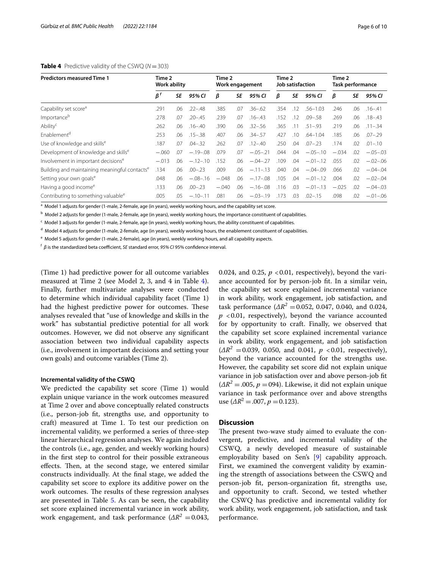#### <span id="page-5-0"></span>**Table 4** Predictive validity of the CSWQ (*N*=303)

| <b>Predictors measured Time 1</b>                         | Time 2<br><b>Work ability</b> |     |             | Time 2<br>Work engagement |     |             | Time 2<br>Job satisfaction |     |              | Time 2<br>Task performance |     |             |
|-----------------------------------------------------------|-------------------------------|-----|-------------|---------------------------|-----|-------------|----------------------------|-----|--------------|----------------------------|-----|-------------|
|                                                           | $\beta^f$                     | SE  | 95% CI      | β                         | SE  | 95% CI      | β                          | SE  | 95% CI       | β                          | SE  | 95% CI      |
| Capability set score <sup>a</sup>                         | .291                          | .06 | $.22 - .48$ | .385                      | .07 | $.36 - .62$ | .354                       | .12 | $.56 - 1.03$ | .246                       | .06 | $.16 - .41$ |
| Importanceb                                               | .278                          | .07 | $.20 - .45$ | .239                      | .07 | $.16 - .43$ | .152                       | .12 | $.09 - .58$  | .269                       | .06 | $.18 - .43$ |
| Ability <sup>c</sup>                                      | 262                           | .06 | $.16 - .40$ | .390                      | .06 | $.32 - .56$ | .365                       |     | $.51 - .93$  | .219                       | .06 | $.11 - .34$ |
| Fnablement <sup>d</sup>                                   | .253                          | .06 | $.15 - .38$ | .407                      | .06 | $.34 - .57$ | .427                       | .10 | $.64 - 1.04$ | .185                       | .06 | $.07 - .29$ |
| Use of knowledge and skills <sup>e</sup>                  | .187                          | .07 | $.04 - .32$ | .262                      | 07  | $.12 - .40$ | .250                       | .04 | $.07 - .23$  | .174                       | .02 | $.01 - .10$ |
| Development of knowledge and skills <sup>e</sup>          | $-.060$                       | .07 | $-.19-.08$  | .079                      | 07  | $-.05-.21$  | .044                       | .04 | $-.05-.10$   | $-.034$                    | .02 | $-.05-.03$  |
| Involvement in important decisions <sup>e</sup>           | $-.013$                       | .06 | $-.12-.10$  | .152                      | 06  | $-.04-.27$  | .109                       | .04 | $-.01-.12$   | .055                       | .02 | $-.02-.06$  |
| Building and maintaining meaningful contacts <sup>e</sup> | .134                          | .06 | $.00 - .23$ | .009                      | .06 | $-.11-.13$  | .040                       | .04 | $-.04-.09$   | .066                       | .02 | $-.04-.04$  |
| Setting your own goals <sup>e</sup>                       | .048                          | .06 | $-.08-.16$  | $-.048$                   | 06  | $-.17-.08$  | .105                       | .04 | $-.01-.12$   | .004                       | .02 | $-.02-.04$  |
| Having a good income <sup>e</sup>                         | .133                          | .06 | $.00 - .23$ | $-.040$                   | .06 | $-.16-.08$  | .116                       | .03 | $-.01-.13$   | $-.025$                    | .02 | $-.04-.03$  |
| Contributing to something valuable <sup>e</sup>           | .005                          | .05 | $-.10-.11$  | .081                      | .06 | $-.03-.19$  | .173                       | .03 | $.02 - .15$  | .098                       | .02 | $-.01-.06$  |

<sup>a</sup> Model 1 adjusts for gender (1-male, 2-female, age (in years), weekly working hours, and the capability set score.

 $^{\rm b}$  Model 2 adjusts for gender (1-male, 2-female, age (in years), weekly working hours, the importance constituent of capabilities.

<sup>c</sup> Model 3 adjusts for gender (1-male, 2-female, age (in years), weekly working hours, the ability constituent of capabilities.

<sup>d</sup> Model 4 adjusts for gender (1-male, 2-female, age (in years), weekly working hours, the enablement constituent of capabilities.

<sup>e</sup> Model 5 adjusts for gender (1-male, 2-female), age (in years), weekly working hours, and all capability aspects.

 $^{\mathsf{f}}$  *β* is the standardized beta coefficient, *SE* standard error, 95% CI 95% confidence interval.

(Time 1) had predictive power for all outcome variables measured at Time 2 (see Model 2, 3, and 4 in Table [4](#page-5-0)). Finally, further multivariate analyses were conducted to determine which individual capability facet (Time 1) had the highest predictive power for outcomes. These analyses revealed that "use of knowledge and skills in the work" has substantial predictive potential for all work outcomes. However, we did not observe any signifcant association between two individual capability aspects (i.e., involvement in important decisions and setting your own goals) and outcome variables (Time 2).

#### **Incremental validity of the CSWQ**

We predicted the capability set score (Time 1) would explain unique variance in the work outcomes measured at Time 2 over and above conceptually related constructs (i.e., person-job ft, strengths use, and opportunity to craft) measured at Time 1. To test our prediction on incremental validity, we performed a series of three-step linear hierarchical regression analyses. We again included the controls (i.e., age, gender, and weekly working hours) in the frst step to control for their possible extraneous effects. Then, at the second stage, we entered similar constructs individually. At the fnal stage, we added the capability set score to explore its additive power on the work outcomes. The results of these regression analyses are presented in Table [5.](#page-6-0) As can be seen, the capability set score explained incremental variance in work ability, work engagement, and task performance  $(\Delta R^2 = 0.043,$  0.024, and 0.25,  $p < 0.01$ , respectively), beyond the variance accounted for by person-job ft. In a similar vein, the capability set score explained incremental variance in work ability, work engagement, job satisfaction, and task performance  $(\Delta R^2 = 0.052, 0.047, 0.040,$  and 0.024,  $p \leq 0.01$ , respectively), beyond the variance accounted for by opportunity to craft. Finally, we observed that the capability set score explained incremental variance in work ability, work engagement, and job satisfaction  $(\Delta R^2 = 0.039, 0.050, \text{ and } 0.041, p < 0.01, \text{ respectively})$ beyond the variance accounted for the strengths use. However, the capability set score did not explain unique variance in job satisfaction over and above person-job ft  $(\Delta R^2 = .005, p = 094)$ . Likewise, it did not explain unique variance in task performance over and above strengths use  $(\Delta R^2 = .007, p = 0.123)$ .

#### **Discussion**

The present two-wave study aimed to evaluate the convergent, predictive, and incremental validity of the CSWQ, a newly developed measure of sustainable employability based on Sen's [[9\]](#page-8-8) capability approach. First, we examined the convergent validity by examining the strength of associations between the CSWQ and person-job ft, person-organization ft, strengths use, and opportunity to craft. Second, we tested whether the CSWQ has predictive and incremental validity for work ability, work engagement, job satisfaction, and task performance.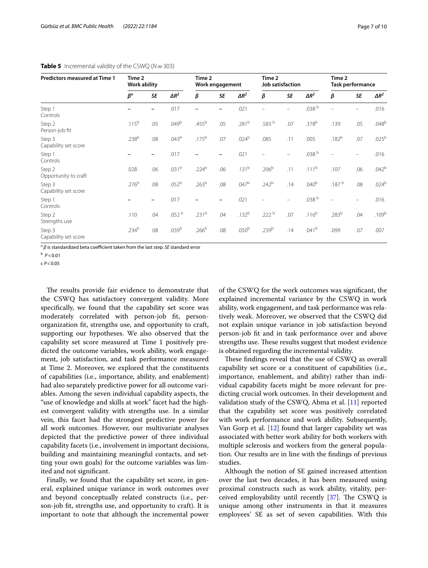| Predictors measured at Time 1  | Time 2<br>Work ability |           |              | Time 2<br>Work engagement |           |                   | Time 2            | Job satisfaction         |                   | Time 2<br>Task performance |                   |              |
|--------------------------------|------------------------|-----------|--------------|---------------------------|-----------|-------------------|-------------------|--------------------------|-------------------|----------------------------|-------------------|--------------|
|                                | $\beta^a$              | <b>SE</b> | $\Delta R^2$ | β                         | <b>SE</b> | $\Delta R^2$      | β                 | <b>SE</b>                | $\Delta R^2$      | β                          | <b>SE</b>         | $\Delta R^2$ |
| Step 1<br>Controls             |                        |           | .017         |                           |           | .021              |                   | $\equiv$                 | .038 b            |                            |                   | .016         |
| Step 2<br>Person-job fit       | $.115^{b}$             | .05       | $.049^{b}$   | .455 <sup>b</sup>         | .05       | $.281^{b}$        | .583 b            | .07                      | .378 <sup>b</sup> | .139                       | .05               | $.048^{b}$   |
| Step 3<br>Capability set score | .238 <sup>b</sup>      | .08       | $.043^{b}$   | $.175^{b}$                | .07       | $.024^{b}$        | .085              | .11                      | .005              | $.182^{b}$                 | .07               | $.025^{b}$   |
| Step 1<br>Controls             |                        | -         | .017         |                           |           | .021              |                   | -                        | .038 <sup>b</sup> |                            |                   | .016         |
| Step 2<br>Opportunity to craft | .028                   | .06       | $.031^{b}$   | $.224^{b}$                | .06       | $.131^{b}$        | .206 <sup>b</sup> | .11                      | $.111^{b}$        | .107                       | .06               | $.042^{b}$   |
| Step 3<br>Capability set score | .276 <sup>b</sup>      | .08       | $.052^{b}$   | .263 <sup>b</sup>         | .08       | $.047^{b}$        | $.242^{b}$        | .14                      | .040 <sup>b</sup> | .187 b                     | .08               | $.024^{b}$   |
| Step 1<br>Controls             |                        | -         | .017         |                           |           | .021              |                   | $\overline{\phantom{0}}$ | .038 $^{\rm b}$   |                            | $\qquad \qquad -$ | .016         |
| Step 2<br>Strengths use        | .110                   | .04       | .052 b       | $.231^{b}$                | .04       | $.132^{b}$        | .222 $^{\rm b}$   | .07                      | $.116^{b}$        | .283 <sup>b</sup>          | .04               | $.109^{b}$   |
| Step 3<br>Capability set score | .234 <sup>b</sup>      | .08       | $.039^{b}$   | .266 <sup>b</sup>         | .08       | .050 <sup>b</sup> | .239 <sup>b</sup> | .14                      | $.041^{b}$        | .099                       | .07               | .007         |

#### <span id="page-6-0"></span>**Table 5** Incremental validity of the CSWQ ( $N = 303$ )

 $a<sup>a</sup> β$  is standardized beta coefficient taken from the last step. *SE* standard error

c *P*<0.05

The results provide fair evidence to demonstrate that the CSWQ has satisfactory convergent validity. More specifcally, we found that the capability set score was moderately correlated with person-job ft, personorganization ft, strengths use, and opportunity to craft, supporting our hypotheses. We also observed that the capability set score measured at Time 1 positively predicted the outcome variables, work ability, work engagement, job satisfaction, and task performance measured at Time 2. Moreover, we explored that the constituents of capabilities (i.e., importance, ability, and enablement) had also separately predictive power for all outcome variables. Among the seven individual capability aspects, the "use of knowledge and skills at work" facet had the highest convergent validity with strengths use. In a similar vein, this facet had the strongest predictive power for all work outcomes. However, our multivariate analyses depicted that the predictive power of three individual capability facets (i.e., involvement in important decisions, building and maintaining meaningful contacts, and setting your own goals) for the outcome variables was limited and not signifcant.

Finally, we found that the capability set score, in general, explained unique variance in work outcomes over and beyond conceptually related constructs (i.e., person-job ft, strengths use, and opportunity to craft). It is important to note that although the incremental power of the CSWQ for the work outcomes was signifcant, the explained incremental variance by the CSWQ in work ability, work engagement, and task performance was relatively weak. Moreover, we observed that the CSWQ did not explain unique variance in job satisfaction beyond person-job ft and in task performance over and above strengths use. These results suggest that modest evidence is obtained regarding the incremental validity.

These findings reveal that the use of CSWQ as overall capability set score or a constituent of capabilities (i.e., importance, enablement, and ability) rather than individual capability facets might be more relevant for predicting crucial work outcomes. In their development and validation study of the CSWQ, Abma et al. [\[11\]](#page-8-10) reported that the capability set score was positively correlated with work performance and work ability. Subsequently, Van Gorp et al. [[12\]](#page-8-11) found that larger capability set was associated with better work ability for both workers with multiple sclerosis and workers from the general population. Our results are in line with the fndings of previous studies.

Although the notion of SE gained increased attention over the last two decades, it has been measured using proximal constructs such as work ability, vitality, perceived employability until recently  $[37]$  $[37]$  $[37]$ . The CSWQ is unique among other instruments in that it measures employees' SE as set of seven capabilities. With this

b *P*<0.01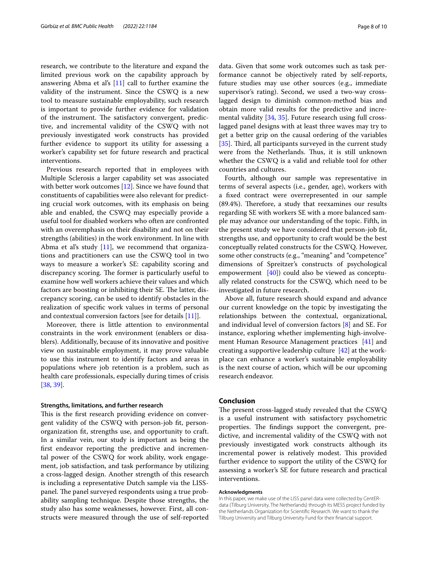research, we contribute to the literature and expand the limited previous work on the capability approach by answering Abma et al's  $[11]$  $[11]$  call to further examine the validity of the instrument. Since the CSWQ is a new tool to measure sustainable employability, such research is important to provide further evidence for validation of the instrument. The satisfactory convergent, predictive, and incremental validity of the CSWQ with not previously investigated work constructs has provided further evidence to support its utility for assessing a worker's capability set for future research and practical interventions.

Previous research reported that in employees with Multiple Sclerosis a larger capability set was associated with better work outcomes [[12\]](#page-8-11). Since we have found that constituents of capabilities were also relevant for predicting crucial work outcomes, with its emphasis on being able and enabled, the CSWQ may especially provide a useful tool for disabled workers who often are confronted with an overemphasis on their disability and not on their strengths (abilities) in the work environment. In line with Abma et al's study  $[11]$ , we recommend that organizations and practitioners can use the CSWQ tool in two ways to measure a worker's SE: capability scoring and discrepancy scoring. The former is particularly useful to examine how well workers achieve their values and which factors are boosting or inhibiting their SE. The latter, discrepancy scoring, can be used to identify obstacles in the realization of specifc work values in terms of personal and contextual conversion factors [see for details [[11\]](#page-8-10)].

Moreover, there is little attention to environmental constraints in the work environment (enablers or disablers). Additionally, because of its innovative and positive view on sustainable employment, it may prove valuable to use this instrument to identify factors and areas in populations where job retention is a problem, such as health care professionals, especially during times of crisis [[38,](#page-9-5) [39](#page-9-6)].

#### **Strengths, limitations, and further research**

This is the first research providing evidence on convergent validity of the CSWQ with person-job ft, personorganization ft, strengths use, and opportunity to craft. In a similar vein, our study is important as being the frst endeavor reporting the predictive and incremental power of the CSWQ for work ability, work engagement, job satisfaction, and task performance by utilizing a cross-lagged design. Another strength of this research is including a representative Dutch sample via the LISSpanel. The panel surveyed respondents using a true probability sampling technique. Despite those strengths, the study also has some weaknesses, however. First, all constructs were measured through the use of self-reported data. Given that some work outcomes such as task performance cannot be objectively rated by self-reports, future studies may use other sources (e.g., immediate supervisor's rating). Second, we used a two-way crosslagged design to diminish common-method bias and obtain more valid results for the predictive and incremental validity [\[34,](#page-9-1) [35\]](#page-9-2). Future research using full crosslagged panel designs with at least three waves may try to get a better grip on the causal ordering of the variables [[35\]](#page-9-2). Third, all participants surveyed in the current study were from the Netherlands. Thus, it is still unknown whether the CSWQ is a valid and reliable tool for other countries and cultures.

Fourth, although our sample was representative in terms of several aspects (i.e., gender, age), workers with a fxed contract were overrepresented in our sample  $(89.4%)$ . Therefore, a study that reexamines our results regarding SE with workers SE with a more balanced sample may advance our understanding of the topic. Fifth, in the present study we have considered that person-job ft, strengths use, and opportunity to craft would be the best conceptually related constructs for the CSWQ. However, some other constructs (e.g., "meaning" and "competence" dimensions of Spreitzer's constructs of psychological empowerment [[40](#page-9-7)]) could also be viewed as conceptually related constructs for the CSWQ, which need to be investigated in future research.

Above all, future research should expand and advance our current knowledge on the topic by investigating the relationships between the contextual, organizational, and individual level of conversion factors [\[8](#page-8-7)] and SE. For instance, exploring whether implementing high-involvement Human Resource Management practices [\[41\]](#page-9-8) and creating a supportive leadership culture [\[42\]](#page-9-9) at the workplace can enhance a worker's sustainable employability is the next course of action, which will be our upcoming research endeavor.

#### **Conclusion**

The present cross-lagged study revealed that the CSWQ is a useful instrument with satisfactory psychometric properties. The findings support the convergent, predictive, and incremental validity of the CSWQ with not previously investigated work constructs although its incremental power is relatively modest. This provided further evidence to support the utility of the CSWQ for assessing a worker's SE for future research and practical interventions.

#### **Acknowledgments**

In this paper, we make use of the LISS panel data were collected by CentERdata (Tilburg University, The Netherlands) through its MESS project funded by the Netherlands Organization for Scientifc Research. We want to thank the Tilburg University and Tilburg University Fund for their fnancial support.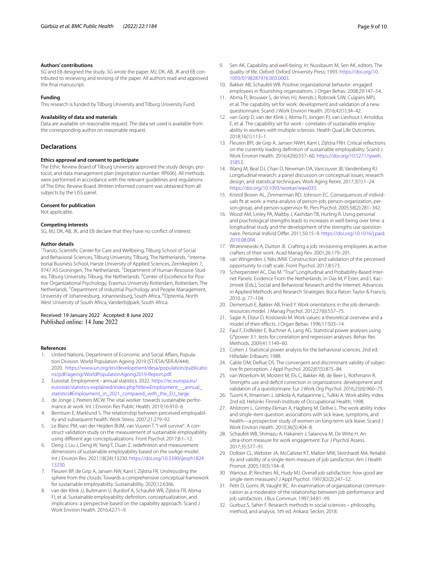#### **Authors' contributions**

SG and EB designed the study. SG wrote the paper. MJ, DK, AB, JK and EB contributed to reviewing and revising of the paper. All authors read and approved the fnal manuscript.

#### **Funding**

This research is funded by Tilburg University and Tilburg University Fund.

#### **Availability of data and materials**

Data are available on reasonable request. The data set used is available from the corresponding author on reasonable request.

#### **Declarations**

#### **Ethics approval and consent to participate**

The Ethic Review Board of Tilburg University approved the study design, protocol, and data management plan (registration number: RP606). All methods were performed in accordance with the relevant guidelines and regulations of The Ethic Review Board. Written informed consent was obtained from all subjects by the LISS panel.

#### **Consent for publication**

Not applicable.

#### **Competing interests**

SG, MJ, DK, AB, JK, and EB declare that they have no confict of interest.

#### **Author details**

<sup>1</sup> Tranzo, Scientific Center for Care and Wellbeing, Tilburg School of Social and Behavioral Sciences, Tilburg University, Tilburg, The Netherlands. <sup>2</sup>International Business School, Hanze University of Applied Sciences, Zernikeplein 7, 9747 AS Groningen, The Netherlands. <sup>3</sup> Department of Human Resource Studies, Tilburg University, Tilburg, the Netherlands. <sup>4</sup>Center of Excellence for Positive Organizational Psychology, Erasmus University Rotterdam, Rotterdam, The Netherlands.<sup>5</sup> Department of Industrial Psychology and People Management, University of Johannesburg, Johannesburg, South Africa. <sup>6</sup>Optentia, North West University of South Africa, Vanderbijlpark, South Africa.

# Received: 19 January 2022 Accepted: 8 June 2022

#### **References**

- <span id="page-8-0"></span>United Nations, Department of Economic and Social Affairs, Population Division. World Population Ageing 2019 (ST/ESA/SER.A/444). 2020. [https://www.un.org/en/development/desa/population/publicatio](https://www.un.org/en/development/desa/population/publications/pdf/ageing/WorldPopulationAgeing2019-Report.pdf) [ns/pdf/ageing/WorldPopulationAgeing2019-Report.pdf.](https://www.un.org/en/development/desa/population/publications/pdf/ageing/WorldPopulationAgeing2019-Report.pdf)
- <span id="page-8-1"></span>2. Eurostat. Employment - annual statistics. 2022. [https://ec.europa.eu/](https://ec.europa.eu/eurostat/statistics-explained/index.php?title=Employment_-_annual_statistics#Employment_in_2021_compared_with_the_EU_targe) [eurostat/statistics-explained/index.php?title](https://ec.europa.eu/eurostat/statistics-explained/index.php?title=Employment_-_annual_statistics#Employment_in_2021_compared_with_the_EU_targe)=Employment\_-\_annual\_ [statistics#Employment\\_in\\_2021\\_compared\\_with\\_the\\_EU\\_targe](https://ec.europa.eu/eurostat/statistics-explained/index.php?title=Employment_-_annual_statistics#Employment_in_2021_compared_with_the_EU_targe).
- <span id="page-8-2"></span>3. de Jonge J, Peeters MCW. The vital worker: towards sustainable performance at work. Int J Environ Res Public Health. 2019;16:910–6.
- <span id="page-8-3"></span>4. Berntson E, Marklund S. The relationship between perceived employability and subsequent health. Work Stress. 2007;21:279–92.
- <span id="page-8-4"></span>5. Le Blanc PM, van der Heijden BIJM, van Vuuren T. "I will survive": A construct validation study on the measurement of sustainable employability using diferent age conceptualizations. Front Psychol. 2017;8:1–12.
- <span id="page-8-5"></span>6. Deng J, Liu J, Deng W, Yang T, Duan Z. redefnition and measurement dimensions of sustainable employability based on the swAge-model. Int J Environ Res. 2021;18(24):13230. [https://doi.org/10.3390/ijerph1824](https://doi.org/10.3390/ijerph182413230) [13230.](https://doi.org/10.3390/ijerph182413230)
- <span id="page-8-6"></span>7. Fleuren BP, de Grip A, Jansen NW, Kant I, Zijlstra FR. Unshrouding the sphere from the clouds: Towards a comprehensive conceptual framework for sustainable employability. Sustainability. 2020;12:6366.
- <span id="page-8-7"></span>8. van der Klink JJ, Bultmann U, Burdorf A, Schaufeli WB, Zijlstra FR, Abma FI, et al. Sustainable employability-defnition, conceptualization, and implications: a perspective based on the capability approach. Scand J Work Environ Health. 2016;42:71–9.
- <span id="page-8-8"></span>9. Sen AK. Capability and well-being. In: Nussbaum M, Sen AK, editors. The quality of life. Oxford: Oxford University Press; 1993. [https://doi.org/10.](https://doi.org/10.1093/0198287976.003.0003) [1093/0198287976.003.0003.](https://doi.org/10.1093/0198287976.003.0003)
- <span id="page-8-9"></span>10. Bakker AB, Schaufeli WB. Positive organizational behavior: engaged employees in fourishing organizations. J Organ Behav. 2008;29:147–54.
- <span id="page-8-10"></span>11. Abma FI, Brouwer S, de Vries HJ, Arends I, Robroek SJW, Cuijpers MPJ, et al. The capability set for work: development and validation of a new questionnaire. Scand J Work Environ Health. 2016;42(1):34–42.
- <span id="page-8-11"></span>12. van Gorp D, van der Klink J, Abma FI, Jongen PJ, van Lieshout I, Arnoldus E, et al. The capability set for work - correlates of sustainable employability in workers with multiple sclerosis. Health Qual Life Outcomes. 2018;16(1):113–1.
- <span id="page-8-12"></span>13. Fleuren BPI, de Grip A, Jansen NWH, Kant I, Zijlstra FRH. Critical refections on the currently leading defnition of sustainable employability. Scand J Work Environ Health. 2016;42(6):557–60. [https://doi.org/10.5271/sjweh.](https://doi.org/10.5271/sjweh.3585.E) [3585.E](https://doi.org/10.5271/sjweh.3585.E).
- <span id="page-8-13"></span>14. Wang M, Beal DJ, Chan D, Newman DA, Vancouver JB, Vandenberg RJ. Longitudinal research: a panel discussion on conceptual issues, research design, and statistical techniques. Work Aging Retire. 2017;3(1):1–24. [https://doi.org/10.1093/workar/waw033.](https://doi.org/10.1093/workar/waw033)
- <span id="page-8-14"></span>15. Kristof Brown AL, Zimmerman RD, Johnson EC. Consequences of individuals ft at work: a meta-analysis of person-job, person-organization, person-group, and person-supervisor ft. Pers Psychol. 2005;58(2):281–342.
- <span id="page-8-15"></span>16. Wood AM, Linley PA, Maltby J, Kashdan TB, Hurling R. Using personal and psychological strengths leads to increases in well-being over time: a longitudinal study and the development of the strengths use questionnaire. Personal Individ Difer. 2011;50:15–9. [https://doi.org/10.1016/j.paid.](https://doi.org/10.1016/j.paid.2010.08.004) [2010.08.004](https://doi.org/10.1016/j.paid.2010.08.004).
- <span id="page-8-16"></span>17. Wrzesniewski A, Dutton JE. Crafting a job: revisioning employees as active crafters of their work. Acad Manag Rev. 2001;26:179–201.
- <span id="page-8-17"></span>18. van Wingerden J, Niks IMW. Construction and validation of the perceived opportunity to craft scale. Front Psychol. 2017;8:573.
- <span id="page-8-18"></span>19. Scherpenzeel AC, Das M. "True" Longitudinal and Probability-Based Internet Panels: Evidence From the Netherlands. In Das M, P Ester, and L Kaczmirek (Eds.), Social and Behavioral Research and the Internet: Advances in Applied Methods and Research Strategies. Boca Raton: Taylor & Francis; 2010. p. 77–104.
- <span id="page-8-19"></span>20. Demerouti E, Bakker AB, Fried Y. Work orientations in the job demandsresources model. J Manag Psychol. 2012;27(6):557–75.
- <span id="page-8-20"></span>21. Sagie A, Elizur D, Koslowski M. Work values: a theoretical overview and a model of their efects. J Organ Behav. 1996;17:503–14.
- <span id="page-8-21"></span>22. Faul F, Erdfelder E, Buchner A, Lang AG. Statistical power analyses using G\*power 3.1: tests for correlation and regression analyses. Behav Res Methods. 2009;41:1149–60.
- <span id="page-8-22"></span>23. Cohen J. Statistical power analysis for the behavioral sciences. 2nd ed. Hillsdale: Erlbaum; 1988.
- <span id="page-8-23"></span>24. Cable DM, DeRue DS. The convergent and discriminant validity of subjective ft perception. J Appl Psychol. 2002;87(5):875–84.
- <span id="page-8-24"></span>25. van Woerkom M, Mostert M, Els C, Bakker AB, de Beer L, Rothmann R. Strengths use and deficit correction in organizations: development and validation of a questionnaire. Eur J Work Org Psychol. 2016;25(6):960–75.
- <span id="page-8-25"></span>26. Tuomi K, Ilmarinen J, Jahkola A, Katajarinne L, Tulkki A. Work ability index. 2nd ed. Helsinki: Finnish Institute of Occupational Health; 1998.
- <span id="page-8-26"></span>27. Ahlstrom L, Grimby-Ekman A, Hagberg M, Dellve L. The work ability index and single-item question: associations with sick leave, symptoms, and health—a prospective study of women on long-term sick leave. Scand J Work Environ Health. 2010;36(5):404–8.
- <span id="page-8-27"></span>28. Schaufeli WB, Shimazu A, Hakanen J, Salanova M, De Witte H. An ultra-short measure for work engagement. Eur J Psychol Assess. 2017;35:577–91.
- <span id="page-8-28"></span>29. Dolbier CL, Webster JA, McCalister KT, Mallon MW, Steinhardt MA. Reliability and validity of a single-item measure of job satisfaction. Am J Health Promot. 2005;19(3):194–8.
- <span id="page-8-29"></span>30. Wanous JP, Reichers AE, Hudy MJ. Overall job satisfaction: how good are single-item measures? J Appl Psychol. 1997;82(2):247–52.
- <span id="page-8-30"></span>31. Petit D, Gorris JR, Vaught BC. An examination of organizational communication as a moderator of the relationship between job performance and job satisfaction. J Bus Commun. 1997;34:81–99.
- <span id="page-8-31"></span>32. Gurbuz S, Sahin F. Research methods in social sciences – philosophy, method, and analysis. 5th ed. Ankara: Seckin; 2018.